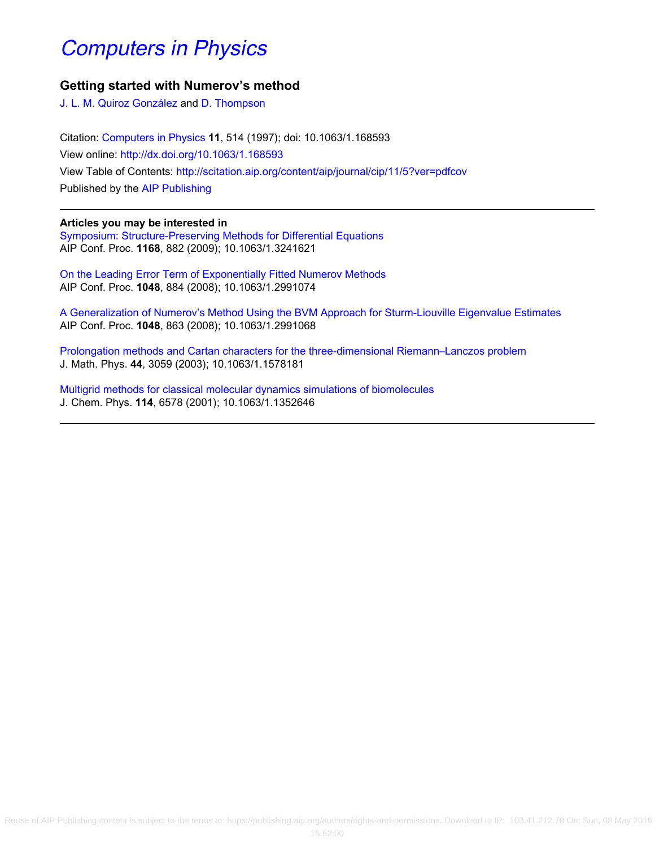# [Computers in Physics](http://scitation.aip.org/content/aip/journal/cip?ver=pdfcov)

### **Getting started with Numerov's method**

[J. L. M. Quiroz González](http://scitation.aip.org/search?value1=J.+L.+M.+Quiroz+Gonz�lez&option1=author) and [D. Thompson](http://scitation.aip.org/search?value1=D.+Thompson&option1=author)

Citation: [Computers in Physics](http://scitation.aip.org/content/aip/journal/cip?ver=pdfcov) **11**, 514 (1997); doi: 10.1063/1.168593 View online: <http://dx.doi.org/10.1063/1.168593> View Table of Contents: <http://scitation.aip.org/content/aip/journal/cip/11/5?ver=pdfcov> Published by the [AIP Publishing](http://scitation.aip.org/content/aip?ver=pdfcov)

### **Articles you may be interested in**

[Symposium: Structure‐Preserving Methods for Differential Equations](http://scitation.aip.org/content/aip/proceeding/aipcp/10.1063/1.3241621?ver=pdfcov) AIP Conf. Proc. **1168**, 882 (2009); 10.1063/1.3241621

[On the Leading Error Term of Exponentially Fitted Numerov Methods](http://scitation.aip.org/content/aip/proceeding/aipcp/10.1063/1.2991074?ver=pdfcov) AIP Conf. Proc. **1048**, 884 (2008); 10.1063/1.2991074

[A Generalization of Numerov's Method Using the BVM Approach for Sturm‐Liouville Eigenvalue Estimates](http://scitation.aip.org/content/aip/proceeding/aipcp/10.1063/1.2991068?ver=pdfcov) AIP Conf. Proc. **1048**, 863 (2008); 10.1063/1.2991068

[Prolongation methods and Cartan characters for the three-dimensional Riemann–Lanczos problem](http://scitation.aip.org/content/aip/journal/jmp/44/7/10.1063/1.1578181?ver=pdfcov) J. Math. Phys. **44**, 3059 (2003); 10.1063/1.1578181

[Multigrid methods for classical molecular dynamics simulations of biomolecules](http://scitation.aip.org/content/aip/journal/jcp/114/15/10.1063/1.1352646?ver=pdfcov) J. Chem. Phys. **114**, 6578 (2001); 10.1063/1.1352646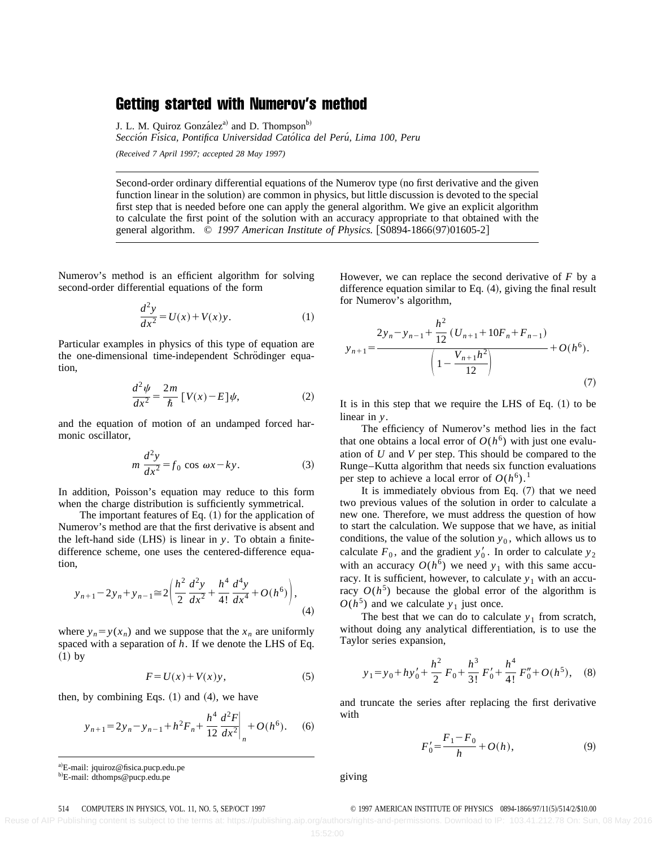## Getting started with Numerov's method

J. L. M. Quiroz González<sup>a)</sup> and D. Thompson<sup>b)</sup>

*Seccio´n Fı´sica, Pontifica Universidad Cato´lica del Peru´, Lima 100, Peru*

*(Received 7 April 1997; accepted 28 May 1997)*

Second-order ordinary differential equations of the Numerov type (no first derivative and the given function linear in the solution) are common in physics, but little discussion is devoted to the special first step that is needed before one can apply the general algorithm. We give an explicit algorithm to calculate the first point of the solution with an accuracy appropriate to that obtained with the general algorithm.  $\degree$  1997 American Institute of Physics. [S0894-1866(97)01605-2]

Numerov's method is an efficient algorithm for solving second-order differential equations of the form

$$
\frac{d^2y}{dx^2} = U(x) + V(x)y.
$$
 (1)

Particular examples in physics of this type of equation are the one-dimensional time-independent Schrödinger equation,

$$
\frac{d^2\psi}{dx^2} = \frac{2m}{\hbar} \left[ V(x) - E \right] \psi,\tag{2}
$$

and the equation of motion of an undamped forced harmonic oscillator,

$$
m\,\frac{d^2y}{dx^2} = f_0\,\cos\,\omega x - ky.\tag{3}
$$

In addition, Poisson's equation may reduce to this form when the charge distribution is sufficiently symmetrical.

The important features of Eq.  $(1)$  for the application of Numerov's method are that the first derivative is absent and the left-hand side  $(LHS)$  is linear in  $y$ . To obtain a finitedifference scheme, one uses the centered-difference equation,

$$
y_{n+1} - 2y_n + y_{n-1} \approx 2\left(\frac{h^2}{2}\frac{d^2y}{dx^2} + \frac{h^4}{4!}\frac{d^4y}{dx^4} + O(h^6)\right),\tag{4}
$$

where  $y_n = y(x_n)$  and we suppose that the  $x_n$  are uniformly spaced with a separation of *h*. If we denote the LHS of Eq.  $(1)$  by

$$
F = U(x) + V(x)y,
$$
 (5)

then, by combining Eqs.  $(1)$  and  $(4)$ , we have

$$
y_{n+1} = 2y_n - y_{n-1} + h^2 F_n + \frac{h^4}{12} \frac{d^2 F}{dx^2} \bigg|_n + O(h^6).
$$
 (6)

<sup>a)</sup>E-mail: jquiroz@fisica.pucp.edu.pe

<sup>b)</sup>E-mail: dthomps@pucp.edu.pe

giving

However, we can replace the second derivative of *F* by a difference equation similar to Eq.  $(4)$ , giving the final result for Numerov's algorithm,

$$
y_{n+1} = \frac{2y_n - y_{n-1} + \frac{h^2}{12} (U_{n+1} + 10F_n + F_{n-1})}{\left(1 - \frac{V_{n+1}h^2}{12}\right)} + O(h^6).
$$
\n(7)

It is in this step that we require the LHS of Eq.  $(1)$  to be linear in *y*.

The efficiency of Numerov's method lies in the fact that one obtains a local error of  $O(h^6)$  with just one evaluation of *U* and *V* per step. This should be compared to the Runge–Kutta algorithm that needs six function evaluations per step to achieve a local error of  $O(h^6)$ .<sup>1</sup>

It is immediately obvious from Eq.  $(7)$  that we need two previous values of the solution in order to calculate a new one. Therefore, we must address the question of how to start the calculation. We suppose that we have, as initial conditions, the value of the solution  $y_0$ , which allows us to calculate  $F_0$ , and the gradient  $y'_0$ . In order to calculate  $y_2$ with an accuracy  $O(h^6)$  we need  $y_1$  with this same accuracy. It is sufficient, however, to calculate  $y_1$  with an accuracy  $O(h^5)$  because the global error of the algorithm is  $O(h^5)$  and we calculate  $y_1$  just once.

The best that we can do to calculate  $y_1$  from scratch, without doing any analytical differentiation, is to use the Taylor series expansion,

$$
y_1 = y_0 + hy'_0 + \frac{h^2}{2}F_0 + \frac{h^3}{3!}F'_0 + \frac{h^4}{4!}F''_0 + O(h^5)
$$
, (8)

and truncate the series after replacing the first derivative with

$$
F_0' = \frac{F_1 - F_0}{h} + O(h),\tag{9}
$$

#### 514 COMPUTERS IN PHYSICS, VOL. 11, NO. 5, SEP/OCT 1997 **COMPUTE OF PHYSICS** 0894-1866/97/11(5)/514/2/\$10.00

Reuse of AIP Publishing content is subject to the terms at: https://publishing.aip.org/authors/rights-and-permissions. Download to IP: 103.41.212.78 On: Sun, 08 May 2016